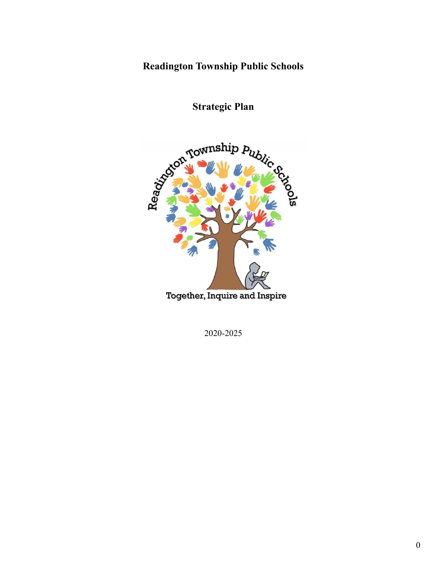# **Readington Township Public Schools**



**Strategic Plan**

2020-2025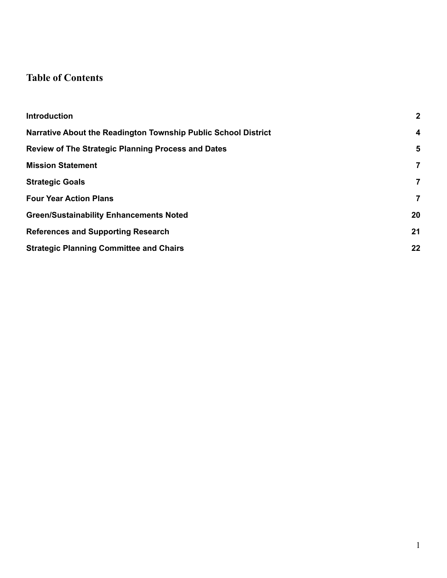# **Table of Contents**

| <b>Introduction</b>                                            | $\mathbf{2}$            |
|----------------------------------------------------------------|-------------------------|
| Narrative About the Readington Township Public School District | $\overline{\mathbf{4}}$ |
| <b>Review of The Strategic Planning Process and Dates</b>      | $5\phantom{1}$          |
| <b>Mission Statement</b>                                       | 7                       |
| <b>Strategic Goals</b>                                         | $\overline{7}$          |
| <b>Four Year Action Plans</b>                                  | 7                       |
| <b>Green/Sustainability Enhancements Noted</b>                 | 20                      |
| <b>References and Supporting Research</b>                      | 21                      |
| <b>Strategic Planning Committee and Chairs</b>                 | 22                      |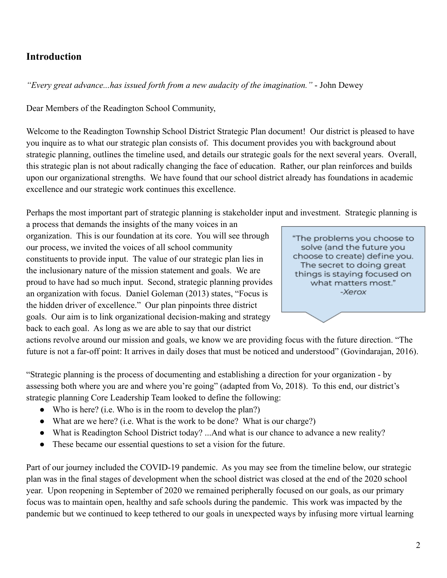### <span id="page-2-0"></span>**Introduction**

*"Every great advance...has issued forth from a new audacity of the imagination."* - John Dewey

Dear Members of the Readington School Community,

Welcome to the Readington Township School District Strategic Plan document! Our district is pleased to have you inquire as to what our strategic plan consists of. This document provides you with background about strategic planning, outlines the timeline used, and details our strategic goals for the next several years. Overall, this strategic plan is not about radically changing the face of education. Rather, our plan reinforces and builds upon our organizational strengths. We have found that our school district already has foundations in academic excellence and our strategic work continues this excellence.

Perhaps the most important part of strategic planning is stakeholder input and investment. Strategic planning is

a process that demands the insights of the many voices in an organization. This is our foundation at its core. You will see through our process, we invited the voices of all school community constituents to provide input. The value of our strategic plan lies in the inclusionary nature of the mission statement and goals. We are proud to have had so much input. Second, strategic planning provides an organization with focus. Daniel Goleman (2013) states, "Focus is the hidden driver of excellence." Our plan pinpoints three district goals. Our aim is to link organizational decision-making and strategy back to each goal. As long as we are able to say that our district



actions revolve around our mission and goals, we know we are providing focus with the future direction. "The future is not a far-off point: It arrives in daily doses that must be noticed and understood" (Govindarajan, 2016).

"Strategic planning is the process of documenting and establishing a direction for your organization - by assessing both where you are and where you're going" (adapted from Vo, 2018). To this end, our district's strategic planning Core Leadership Team looked to define the following:

- Who is here? (i.e. Who is in the room to develop the plan?)
- What are we here? (i.e. What is the work to be done? What is our charge?)
- What is Readington School District today? ...And what is our chance to advance a new reality?
- These became our essential questions to set a vision for the future.

Part of our journey included the COVID-19 pandemic. As you may see from the timeline below, our strategic plan was in the final stages of development when the school district was closed at the end of the 2020 school year. Upon reopening in September of 2020 we remained peripherally focused on our goals, as our primary focus was to maintain open, healthy and safe schools during the pandemic. This work was impacted by the pandemic but we continued to keep tethered to our goals in unexpected ways by infusing more virtual learning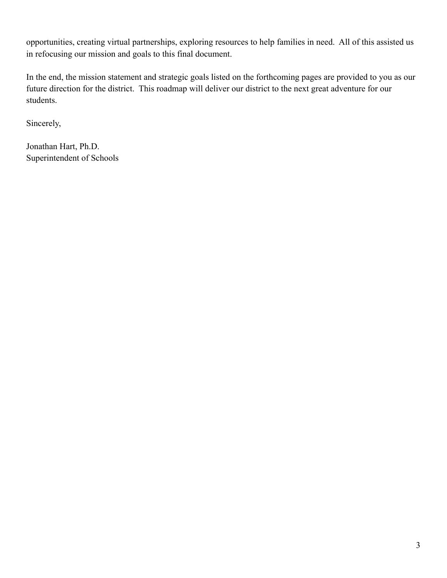opportunities, creating virtual partnerships, exploring resources to help families in need. All of this assisted us in refocusing our mission and goals to this final document.

In the end, the mission statement and strategic goals listed on the forthcoming pages are provided to you as our future direction for the district. This roadmap will deliver our district to the next great adventure for our students.

Sincerely,

Jonathan Hart, Ph.D. Superintendent of Schools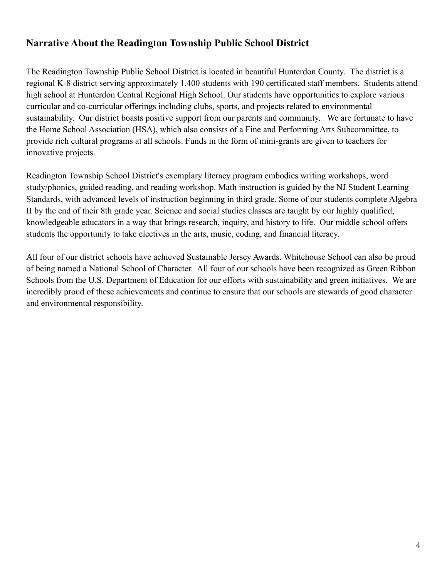## <span id="page-4-0"></span>**Narrative About the Readington Township Public School District**

The Readington Township Public School District is located in beautiful Hunterdon County. The district is a regional K-8 district serving approximately 1,400 students with 190 certificated staff members. Students attend high school at Hunterdon Central Regional High School. Our students have opportunities to explore various curricular and co-curricular offerings including clubs, sports, and projects related to environmental sustainability. Our district boasts positive support from our parents and community. We are fortunate to have the Home School Association (HSA), which also consists of a Fine and Performing Arts Subcommittee, to provide rich cultural programs at all schools. Funds in the form of mini-grants are given to teachers for innovative projects.

Readington Township School District's exemplary literacy program embodies writing workshops, word study/phonics, guided reading, and reading workshop. Math instruction is guided by the NJ Student Learning Standards, with advanced levels of instruction beginning in third grade. Some of our students complete Algebra II by the end of their 8th grade year. Science and social studies classes are taught by our highly qualified, knowledgeable educators in a way that brings research, inquiry, and history to life. Our middle school offers students the opportunity to take electives in the arts, music, coding, and financial literacy.

All four of our district schools have achieved Sustainable Jersey Awards. Whitehouse School can also be proud of being named a National School of Character. All four of our schools have been recognized as Green Ribbon Schools from the U.S. Department of Education for our efforts with sustainability and green initiatives. We are incredibly proud of these achievements and continue to ensure that our schools are stewards of good character and environmental responsibility.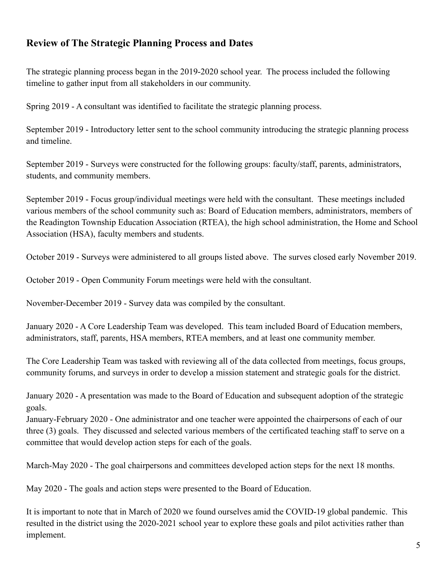### <span id="page-5-0"></span>**Review of The Strategic Planning Process and Dates**

The strategic planning process began in the 2019-2020 school year. The process included the following timeline to gather input from all stakeholders in our community.

Spring 2019 - A consultant was identified to facilitate the strategic planning process.

September 2019 - Introductory letter sent to the school community introducing the strategic planning process and timeline.

September 2019 - Surveys were constructed for the following groups: faculty/staff, parents, administrators, students, and community members.

September 2019 - Focus group/individual meetings were held with the consultant. These meetings included various members of the school community such as: Board of Education members, administrators, members of the Readington Township Education Association (RTEA), the high school administration, the Home and School Association (HSA), faculty members and students.

October 2019 - Surveys were administered to all groups listed above. The surves closed early November 2019.

October 2019 - Open Community Forum meetings were held with the consultant.

November-December 2019 - Survey data was compiled by the consultant.

January 2020 - A Core Leadership Team was developed. This team included Board of Education members, administrators, staff, parents, HSA members, RTEA members, and at least one community member.

The Core Leadership Team was tasked with reviewing all of the data collected from meetings, focus groups, community forums, and surveys in order to develop a mission statement and strategic goals for the district.

January 2020 - A presentation was made to the Board of Education and subsequent adoption of the strategic goals.

January-February 2020 - One administrator and one teacher were appointed the chairpersons of each of our three (3) goals. They discussed and selected various members of the certificated teaching staff to serve on a committee that would develop action steps for each of the goals.

March-May 2020 - The goal chairpersons and committees developed action steps for the next 18 months.

May 2020 - The goals and action steps were presented to the Board of Education.

It is important to note that in March of 2020 we found ourselves amid the COVID-19 global pandemic. This resulted in the district using the 2020-2021 school year to explore these goals and pilot activities rather than implement.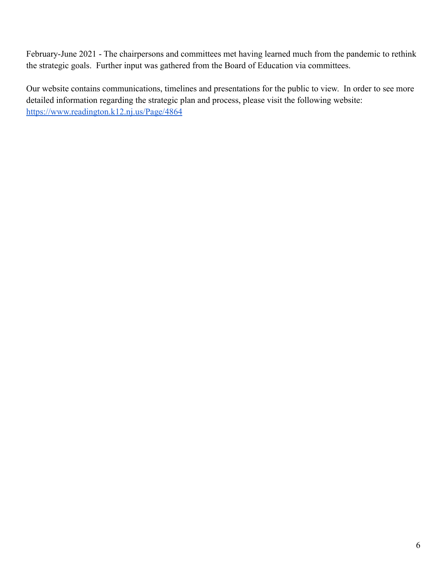February-June 2021 - The chairpersons and committees met having learned much from the pandemic to rethink the strategic goals. Further input was gathered from the Board of Education via committees.

Our website contains communications, timelines and presentations for the public to view. In order to see more detailed information regarding the strategic plan and process, please visit the following website: <https://www.readington.k12.nj.us/Page/4864>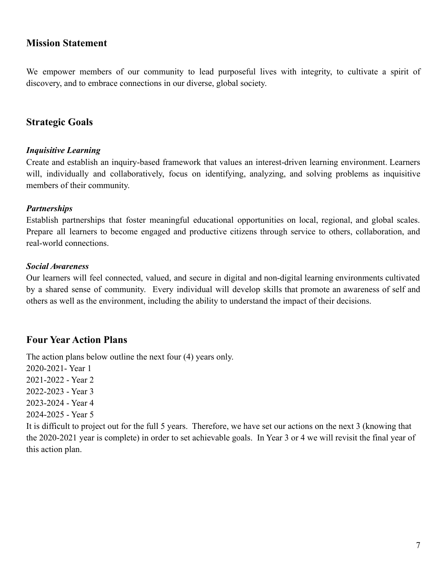### <span id="page-7-0"></span>**Mission Statement**

We empower members of our community to lead purposeful lives with integrity, to cultivate a spirit of discovery, and to embrace connections in our diverse, global society.

### <span id="page-7-1"></span>**Strategic Goals**

#### *Inquisitive Learning*

Create and establish an inquiry-based framework that values an interest-driven learning environment. Learners will, individually and collaboratively, focus on identifying, analyzing, and solving problems as inquisitive members of their community.

#### *Partnerships*

Establish partnerships that foster meaningful educational opportunities on local, regional, and global scales. Prepare all learners to become engaged and productive citizens through service to others, collaboration, and real-world connections.

#### *Social Awareness*

Our learners will feel connected, valued, and secure in digital and non-digital learning environments cultivated by a shared sense of community. Every individual will develop skills that promote an awareness of self and others as well as the environment, including the ability to understand the impact of their decisions.

### <span id="page-7-2"></span>**Four Year Action Plans**

The action plans below outline the next four (4) years only.

2020-2021- Year 1 2021-2022 - Year 2

2022-2023 - Year 3

2023-2024 - Year 4

2024-2025 - Year 5

It is difficult to project out for the full 5 years. Therefore, we have set our actions on the next 3 (knowing that the 2020-2021 year is complete) in order to set achievable goals. In Year 3 or 4 we will revisit the final year of this action plan.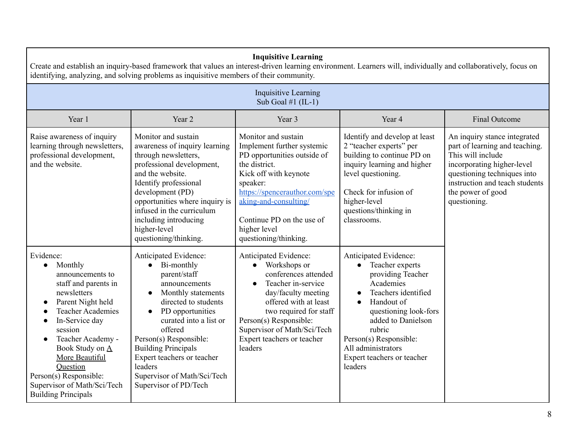| <b>Inquisitive Learning</b><br>Create and establish an inquiry-based framework that values an interest-driven learning environment. Learners will, individually and collaboratively, focus on<br>identifying, analyzing, and solving problems as inquisitive members of their community.                                                |                                                                                                                                                                                                                                                                                                                                                                |                                                                                                                                                                                                                                                                                |                                                                                                                                                                                                                                                                                             |                                                                                                                                                                                                                         |
|-----------------------------------------------------------------------------------------------------------------------------------------------------------------------------------------------------------------------------------------------------------------------------------------------------------------------------------------|----------------------------------------------------------------------------------------------------------------------------------------------------------------------------------------------------------------------------------------------------------------------------------------------------------------------------------------------------------------|--------------------------------------------------------------------------------------------------------------------------------------------------------------------------------------------------------------------------------------------------------------------------------|---------------------------------------------------------------------------------------------------------------------------------------------------------------------------------------------------------------------------------------------------------------------------------------------|-------------------------------------------------------------------------------------------------------------------------------------------------------------------------------------------------------------------------|
|                                                                                                                                                                                                                                                                                                                                         |                                                                                                                                                                                                                                                                                                                                                                | <b>Inquisitive Learning</b><br>Sub Goal #1 $(IL-1)$                                                                                                                                                                                                                            |                                                                                                                                                                                                                                                                                             |                                                                                                                                                                                                                         |
| Year 1                                                                                                                                                                                                                                                                                                                                  | Year 2                                                                                                                                                                                                                                                                                                                                                         | Year 3                                                                                                                                                                                                                                                                         | Year 4                                                                                                                                                                                                                                                                                      | <b>Final Outcome</b>                                                                                                                                                                                                    |
| Raise awareness of inquiry<br>learning through newsletters,<br>professional development,<br>and the website.                                                                                                                                                                                                                            | Monitor and sustain<br>awareness of inquiry learning<br>through newsletters,<br>professional development,<br>and the website.<br>Identify professional<br>development (PD)<br>opportunities where inquiry is<br>infused in the curriculum<br>including introducing<br>higher-level<br>questioning/thinking.                                                    | Monitor and sustain<br>Implement further systemic<br>PD opportunities outside of<br>the district.<br>Kick off with keynote<br>speaker:<br>https://spencerauthor.com/spe<br>aking-and-consulting/<br>Continue PD on the use of<br>higher level<br>questioning/thinking.         | Identify and develop at least<br>2 "teacher experts" per<br>building to continue PD on<br>inquiry learning and higher<br>level questioning.<br>Check for infusion of<br>higher-level<br>questions/thinking in<br>classrooms.                                                                | An inquiry stance integrated<br>part of learning and teaching.<br>This will include<br>incorporating higher-level<br>questioning techniques into<br>instruction and teach students<br>the power of good<br>questioning. |
| Evidence:<br>Monthly<br>$\bullet$<br>announcements to<br>staff and parents in<br>newsletters<br>Parent Night held<br><b>Teacher Academies</b><br>In-Service day<br>session<br>Teacher Academy -<br>Book Study on A<br>More Beautiful<br>Question<br>Person(s) Responsible:<br>Supervisor of Math/Sci/Tech<br><b>Building Principals</b> | Anticipated Evidence:<br>Bi-monthly<br>$\bullet$<br>parent/staff<br>announcements<br>Monthly statements<br>$\bullet$<br>directed to students<br>PD opportunities<br>curated into a list or<br>offered<br>Person(s) Responsible:<br><b>Building Principals</b><br>Expert teachers or teacher<br>leaders<br>Supervisor of Math/Sci/Tech<br>Supervisor of PD/Tech | Anticipated Evidence:<br>• Workshops or<br>conferences attended<br>Teacher in-service<br>$\bullet$<br>day/faculty meeting<br>offered with at least<br>two required for staff<br>Person(s) Responsible:<br>Supervisor of Math/Sci/Tech<br>Expert teachers or teacher<br>leaders | Anticipated Evidence:<br>Teacher experts<br>$\bullet$<br>providing Teacher<br>Academies<br>Teachers identified<br>Handout of<br>$\bullet$<br>questioning look-fors<br>added to Danielson<br>rubric<br>Person(s) Responsible:<br>All administrators<br>Expert teachers or teacher<br>leaders |                                                                                                                                                                                                                         |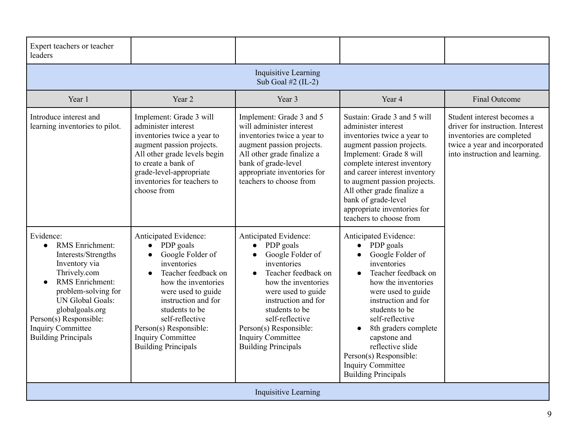| Expert teachers or teacher<br>leaders                                                                                                                                                                                                                                  |                                                                                                                                                                                                                                                                                                        |                                                                                                                                                                                                                                                                                                        |                                                                                                                                                                                                                                                                                                                                                                    |                                                                                                                                                                |
|------------------------------------------------------------------------------------------------------------------------------------------------------------------------------------------------------------------------------------------------------------------------|--------------------------------------------------------------------------------------------------------------------------------------------------------------------------------------------------------------------------------------------------------------------------------------------------------|--------------------------------------------------------------------------------------------------------------------------------------------------------------------------------------------------------------------------------------------------------------------------------------------------------|--------------------------------------------------------------------------------------------------------------------------------------------------------------------------------------------------------------------------------------------------------------------------------------------------------------------------------------------------------------------|----------------------------------------------------------------------------------------------------------------------------------------------------------------|
|                                                                                                                                                                                                                                                                        |                                                                                                                                                                                                                                                                                                        | <b>Inquisitive Learning</b><br>Sub Goal $#2$ (IL-2)                                                                                                                                                                                                                                                    |                                                                                                                                                                                                                                                                                                                                                                    |                                                                                                                                                                |
| Year 1                                                                                                                                                                                                                                                                 | Year 2                                                                                                                                                                                                                                                                                                 | Year 3                                                                                                                                                                                                                                                                                                 | Year 4                                                                                                                                                                                                                                                                                                                                                             | <b>Final Outcome</b>                                                                                                                                           |
| Introduce interest and<br>learning inventories to pilot.                                                                                                                                                                                                               | Implement: Grade 3 will<br>administer interest<br>inventories twice a year to<br>augment passion projects.<br>All other grade levels begin<br>to create a bank of<br>grade-level-appropriate<br>inventories for teachers to<br>choose from                                                             | Implement: Grade 3 and 5<br>will administer interest<br>inventories twice a year to<br>augment passion projects.<br>All other grade finalize a<br>bank of grade-level<br>appropriate inventories for<br>teachers to choose from                                                                        | Sustain: Grade 3 and 5 will<br>administer interest<br>inventories twice a year to<br>augment passion projects.<br>Implement: Grade 8 will<br>complete interest inventory<br>and career interest inventory<br>to augment passion projects.<br>All other grade finalize a<br>bank of grade-level<br>appropriate inventories for<br>teachers to choose from           | Student interest becomes a<br>driver for instruction. Interest<br>inventories are completed<br>twice a year and incorporated<br>into instruction and learning. |
| Evidence:<br>RMS Enrichment:<br>$\bullet$<br>Interests/Strengths<br>Inventory via<br>Thrively.com<br>RMS Enrichment:<br>problem-solving for<br>UN Global Goals:<br>globalgoals.org<br>Person(s) Responsible:<br><b>Inquiry Committee</b><br><b>Building Principals</b> | Anticipated Evidence:<br>PDP goals<br>$\bullet$<br>Google Folder of<br>inventories<br>Teacher feedback on<br>how the inventories<br>were used to guide<br>instruction and for<br>students to be<br>self-reflective<br>Person(s) Responsible:<br><b>Inquiry Committee</b><br><b>Building Principals</b> | Anticipated Evidence:<br>PDP goals<br>$\bullet$<br>Google Folder of<br>inventories<br>Teacher feedback on<br>how the inventories<br>were used to guide<br>instruction and for<br>students to be<br>self-reflective<br>Person(s) Responsible:<br><b>Inquiry Committee</b><br><b>Building Principals</b> | Anticipated Evidence:<br>PDP goals<br>$\bullet$<br>Google Folder of<br>inventories<br>Teacher feedback on<br>how the inventories<br>were used to guide<br>instruction and for<br>students to be<br>self-reflective<br>8th graders complete<br>capstone and<br>reflective slide<br>Person(s) Responsible:<br><b>Inquiry Committee</b><br><b>Building Principals</b> |                                                                                                                                                                |
|                                                                                                                                                                                                                                                                        |                                                                                                                                                                                                                                                                                                        | <b>Inquisitive Learning</b>                                                                                                                                                                                                                                                                            |                                                                                                                                                                                                                                                                                                                                                                    |                                                                                                                                                                |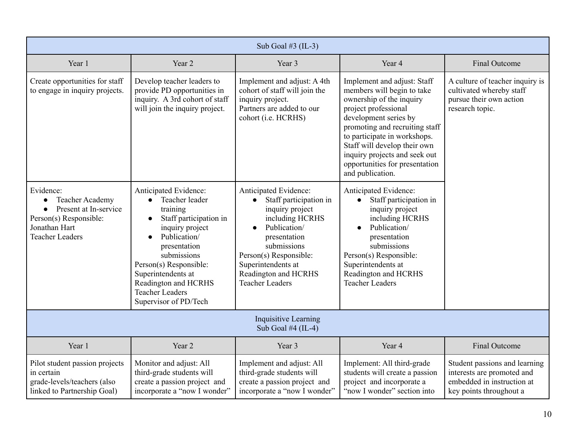|                                                                                                                                   |                                                                                                                                                                                                                                                                                         | Sub Goal #3 $(IL-3)$                                                                                                                                                                                                                   |                                                                                                                                                                                                                                                                                                                                 |                                                                                                                      |
|-----------------------------------------------------------------------------------------------------------------------------------|-----------------------------------------------------------------------------------------------------------------------------------------------------------------------------------------------------------------------------------------------------------------------------------------|----------------------------------------------------------------------------------------------------------------------------------------------------------------------------------------------------------------------------------------|---------------------------------------------------------------------------------------------------------------------------------------------------------------------------------------------------------------------------------------------------------------------------------------------------------------------------------|----------------------------------------------------------------------------------------------------------------------|
| Year 1                                                                                                                            | Year 2                                                                                                                                                                                                                                                                                  | Year 3                                                                                                                                                                                                                                 | Year 4                                                                                                                                                                                                                                                                                                                          | Final Outcome                                                                                                        |
| Create opportunities for staff<br>to engage in inquiry projects.                                                                  | Develop teacher leaders to<br>provide PD opportunities in<br>inquiry. A 3rd cohort of staff<br>will join the inquiry project.                                                                                                                                                           | Implement and adjust: A 4th<br>cohort of staff will join the<br>inquiry project.<br>Partners are added to our<br>cohort (i.e. HCRHS)                                                                                                   | Implement and adjust: Staff<br>members will begin to take<br>ownership of the inquiry<br>project professional<br>development series by<br>promoting and recruiting staff<br>to participate in workshops.<br>Staff will develop their own<br>inquiry projects and seek out<br>opportunities for presentation<br>and publication. | A culture of teacher inquiry is<br>cultivated whereby staff<br>pursue their own action<br>research topic.            |
| Evidence:<br><b>Teacher Academy</b><br>Present at In-service<br>Person(s) Responsible:<br>Jonathan Hart<br><b>Teacher Leaders</b> | Anticipated Evidence:<br>Teacher leader<br>training<br>Staff participation in<br>$\bullet$<br>inquiry project<br>Publication/<br>presentation<br>submissions<br>Person(s) Responsible:<br>Superintendents at<br>Readington and HCRHS<br><b>Teacher Leaders</b><br>Supervisor of PD/Tech | Anticipated Evidence:<br>Staff participation in<br>inquiry project<br>including HCRHS<br>Publication/<br>presentation<br>submissions<br>Person(s) Responsible:<br>Superintendents at<br>Readington and HCRHS<br><b>Teacher Leaders</b> | Anticipated Evidence:<br>Staff participation in<br>inquiry project<br>including HCRHS<br>Publication/<br>presentation<br>submissions<br>Person(s) Responsible:<br>Superintendents at<br>Readington and HCRHS<br><b>Teacher Leaders</b>                                                                                          |                                                                                                                      |
|                                                                                                                                   |                                                                                                                                                                                                                                                                                         | <b>Inquisitive Learning</b><br>Sub Goal #4 $(IL-4)$                                                                                                                                                                                    |                                                                                                                                                                                                                                                                                                                                 |                                                                                                                      |
| Year 1                                                                                                                            | Year 2                                                                                                                                                                                                                                                                                  | Year 3                                                                                                                                                                                                                                 | Year 4                                                                                                                                                                                                                                                                                                                          | Final Outcome                                                                                                        |
| Pilot student passion projects<br>in certain<br>grade-levels/teachers (also<br>linked to Partnership Goal)                        | Monitor and adjust: All<br>third-grade students will<br>create a passion project and<br>incorporate a "now I wonder"                                                                                                                                                                    | Implement and adjust: All<br>third-grade students will<br>create a passion project and<br>incorporate a "now I wonder"                                                                                                                 | Implement: All third-grade<br>students will create a passion<br>project and incorporate a<br>"now I wonder" section into                                                                                                                                                                                                        | Student passions and learning<br>interests are promoted and<br>embedded in instruction at<br>key points throughout a |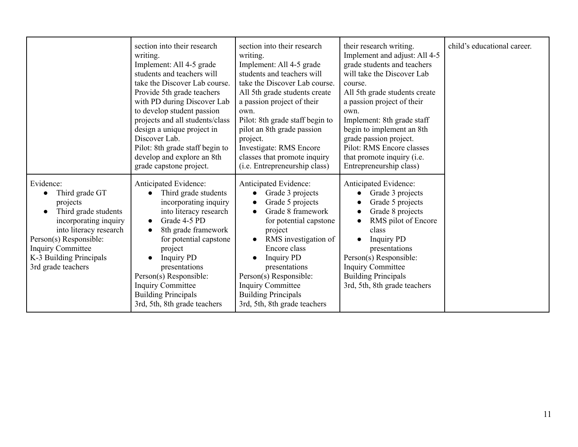|                                                                                                                                                                                                                           | section into their research<br>writing.<br>Implement: All 4-5 grade<br>students and teachers will<br>take the Discover Lab course.<br>Provide 5th grade teachers<br>with PD during Discover Lab<br>to develop student passion<br>projects and all students/class<br>design a unique project in<br>Discover Lab.<br>Pilot: 8th grade staff begin to<br>develop and explore an 8th<br>grade capstone project. | section into their research<br>writing.<br>Implement: All 4-5 grade<br>students and teachers will<br>take the Discover Lab course.<br>All 5th grade students create<br>a passion project of their<br>own.<br>Pilot: 8th grade staff begin to<br>pilot an 8th grade passion<br>project.<br>Investigate: RMS Encore<br>classes that promote inquiry<br>(i.e. Entrepreneurship class) | their research writing.<br>Implement and adjust: All 4-5<br>grade students and teachers<br>will take the Discover Lab<br>course.<br>All 5th grade students create<br>a passion project of their<br>own.<br>Implement: 8th grade staff<br>begin to implement an 8th<br>grade passion project.<br>Pilot: RMS Encore classes<br>that promote inquiry (i.e.<br>Entrepreneurship class) | child's educational career. |
|---------------------------------------------------------------------------------------------------------------------------------------------------------------------------------------------------------------------------|-------------------------------------------------------------------------------------------------------------------------------------------------------------------------------------------------------------------------------------------------------------------------------------------------------------------------------------------------------------------------------------------------------------|------------------------------------------------------------------------------------------------------------------------------------------------------------------------------------------------------------------------------------------------------------------------------------------------------------------------------------------------------------------------------------|------------------------------------------------------------------------------------------------------------------------------------------------------------------------------------------------------------------------------------------------------------------------------------------------------------------------------------------------------------------------------------|-----------------------------|
| Evidence:<br>Third grade GT<br>projects<br>Third grade students<br>incorporating inquiry<br>into literacy research<br>Person(s) Responsible:<br><b>Inquiry Committee</b><br>K-3 Building Principals<br>3rd grade teachers | Anticipated Evidence:<br>Third grade students<br>incorporating inquiry<br>into literacy research<br>Grade 4-5 PD<br>8th grade framework<br>for potential capstone<br>project<br><b>Inquiry PD</b><br>presentations<br>Person(s) Responsible:<br><b>Inquiry Committee</b><br><b>Building Principals</b><br>3rd, 5th, 8th grade teachers                                                                      | Anticipated Evidence:<br>Grade 3 projects<br>Grade 5 projects<br>$\bullet$<br>Grade 8 framework<br>for potential capstone<br>project<br>RMS investigation of<br>Encore class<br><b>Inquiry PD</b><br>presentations<br>Person(s) Responsible:<br><b>Inquiry Committee</b><br><b>Building Principals</b><br>3rd, 5th, 8th grade teachers                                             | Anticipated Evidence:<br>Grade 3 projects<br>Grade 5 projects<br>Grade 8 projects<br>RMS pilot of Encore<br>class<br><b>Inquiry PD</b><br>presentations<br>Person(s) Responsible:<br><b>Inquiry Committee</b><br><b>Building Principals</b><br>3rd, 5th, 8th grade teachers                                                                                                        |                             |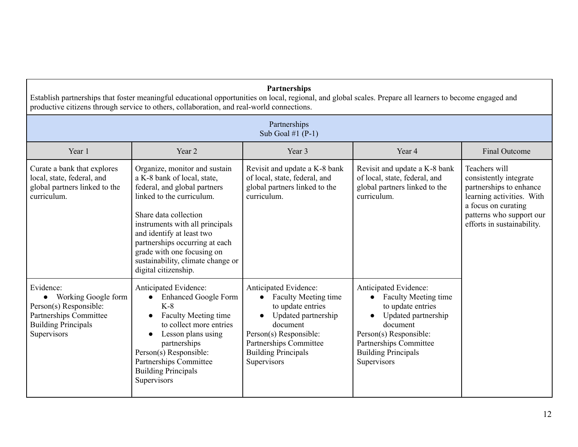|                                                                                                                                     | Establish partnerships that foster meaningful educational opportunities on local, regional, and global scales. Prepare all learners to become engaged and<br>productive citizens through service to others, collaboration, and real-world connections.                                                                                          | Partnerships                                                                                                                                                                                                                            |                                                                                                                                                                                                                            |                                                                                                                                                                                  |
|-------------------------------------------------------------------------------------------------------------------------------------|-------------------------------------------------------------------------------------------------------------------------------------------------------------------------------------------------------------------------------------------------------------------------------------------------------------------------------------------------|-----------------------------------------------------------------------------------------------------------------------------------------------------------------------------------------------------------------------------------------|----------------------------------------------------------------------------------------------------------------------------------------------------------------------------------------------------------------------------|----------------------------------------------------------------------------------------------------------------------------------------------------------------------------------|
|                                                                                                                                     |                                                                                                                                                                                                                                                                                                                                                 | Partnerships<br>Sub Goal #1 $(P-1)$                                                                                                                                                                                                     |                                                                                                                                                                                                                            |                                                                                                                                                                                  |
| Year 1                                                                                                                              | Year 2                                                                                                                                                                                                                                                                                                                                          | Year 3                                                                                                                                                                                                                                  | Year 4                                                                                                                                                                                                                     | <b>Final Outcome</b>                                                                                                                                                             |
| Curate a bank that explores<br>local, state, federal, and<br>global partners linked to the<br>curriculum.                           | Organize, monitor and sustain<br>a K-8 bank of local, state,<br>federal, and global partners<br>linked to the curriculum.<br>Share data collection<br>instruments with all principals<br>and identify at least two<br>partnerships occurring at each<br>grade with one focusing on<br>sustainability, climate change or<br>digital citizenship. | Revisit and update a K-8 bank<br>of local, state, federal, and<br>global partners linked to the<br>curriculum.                                                                                                                          | Revisit and update a K-8 bank<br>of local, state, federal, and<br>global partners linked to the<br>curriculum.                                                                                                             | Teachers will<br>consistently integrate<br>partnerships to enhance<br>learning activities. With<br>a focus on curating<br>patterns who support our<br>efforts in sustainability. |
| Evidence:<br>• Working Google form<br>Person(s) Responsible:<br>Partnerships Committee<br><b>Building Principals</b><br>Supervisors | Anticipated Evidence:<br><b>Enhanced Google Form</b><br>$\bullet$<br>$K-8$<br><b>Faculty Meeting time</b><br>$\bullet$<br>to collect more entries<br>Lesson plans using<br>partnerships<br>Person(s) Responsible:<br>Partnerships Committee<br><b>Building Principals</b><br>Supervisors                                                        | Anticipated Evidence:<br><b>Faculty Meeting time</b><br>$\bullet$<br>to update entries<br>Updated partnership<br>$\bullet$<br>document<br>Person(s) Responsible:<br>Partnerships Committee<br><b>Building Principals</b><br>Supervisors | Anticipated Evidence:<br><b>Faculty Meeting time</b><br>$\bullet$<br>to update entries<br>Updated partnership<br>document<br>Person(s) Responsible:<br>Partnerships Committee<br><b>Building Principals</b><br>Supervisors |                                                                                                                                                                                  |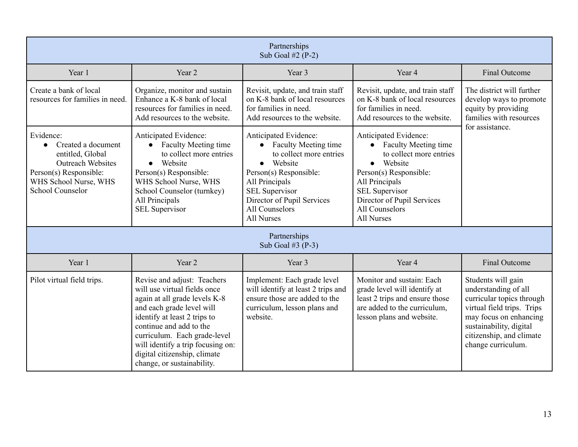|                                                                                                                                                               |                                                                                                                                                                                                                                                                                                                         | Partnerships<br>Sub Goal $#2(P-2)$                                                                                                                                                                                                                  |                                                                                                                                                                                                                                   |                                                                                                                                                                                                              |
|---------------------------------------------------------------------------------------------------------------------------------------------------------------|-------------------------------------------------------------------------------------------------------------------------------------------------------------------------------------------------------------------------------------------------------------------------------------------------------------------------|-----------------------------------------------------------------------------------------------------------------------------------------------------------------------------------------------------------------------------------------------------|-----------------------------------------------------------------------------------------------------------------------------------------------------------------------------------------------------------------------------------|--------------------------------------------------------------------------------------------------------------------------------------------------------------------------------------------------------------|
| Year 1                                                                                                                                                        | Year 2                                                                                                                                                                                                                                                                                                                  | Year 3                                                                                                                                                                                                                                              | Year 4                                                                                                                                                                                                                            | <b>Final Outcome</b>                                                                                                                                                                                         |
| Create a bank of local<br>resources for families in need.                                                                                                     | Organize, monitor and sustain<br>Enhance a K-8 bank of local<br>resources for families in need.<br>Add resources to the website.                                                                                                                                                                                        | Revisit, update, and train staff<br>on K-8 bank of local resources<br>for families in need.<br>Add resources to the website.                                                                                                                        | Revisit, update, and train staff<br>on K-8 bank of local resources<br>for families in need.<br>Add resources to the website.                                                                                                      | The district will further<br>develop ways to promote<br>equity by providing<br>families with resources                                                                                                       |
| Evidence:<br>Created a document<br>entitled, Global<br><b>Outreach Websites</b><br>Person(s) Responsible:<br>WHS School Nurse, WHS<br><b>School Counselor</b> | Anticipated Evidence:<br><b>Faculty Meeting time</b><br>$\bullet$<br>to collect more entries<br>Website<br>$\bullet$<br>Person(s) Responsible:<br>WHS School Nurse, WHS<br>School Counselor (turnkey)<br>All Principals<br><b>SEL Supervisor</b>                                                                        | Anticipated Evidence:<br><b>Faculty Meeting time</b><br>$\bullet$<br>to collect more entries<br>• Website<br>Person(s) Responsible:<br>All Principals<br><b>SEL Supervisor</b><br>Director of Pupil Services<br>All Counselors<br><b>All Nurses</b> | Anticipated Evidence:<br>• Faculty Meeting time<br>to collect more entries<br>• Website<br>Person(s) Responsible:<br>All Principals<br><b>SEL Supervisor</b><br>Director of Pupil Services<br>All Counselors<br><b>All Nurses</b> | for assistance.                                                                                                                                                                                              |
|                                                                                                                                                               |                                                                                                                                                                                                                                                                                                                         | Partnerships<br>Sub Goal #3 $(P-3)$                                                                                                                                                                                                                 |                                                                                                                                                                                                                                   |                                                                                                                                                                                                              |
| Year 1                                                                                                                                                        | Year 2                                                                                                                                                                                                                                                                                                                  | Year 3                                                                                                                                                                                                                                              | Year 4                                                                                                                                                                                                                            | <b>Final Outcome</b>                                                                                                                                                                                         |
| Pilot virtual field trips.                                                                                                                                    | Revise and adjust: Teachers<br>will use virtual fields once<br>again at all grade levels K-8<br>and each grade level will<br>identify at least 2 trips to<br>continue and add to the<br>curriculum. Each grade-level<br>will identify a trip focusing on:<br>digital citizenship, climate<br>change, or sustainability. | Implement: Each grade level<br>will identify at least 2 trips and<br>ensure those are added to the<br>curriculum, lesson plans and<br>website.                                                                                                      | Monitor and sustain: Each<br>grade level will identify at<br>least 2 trips and ensure those<br>are added to the curriculum,<br>lesson plans and website.                                                                          | Students will gain<br>understanding of all<br>curricular topics through<br>virtual field trips. Trips<br>may focus on enhancing<br>sustainability, digital<br>citizenship, and climate<br>change curriculum. |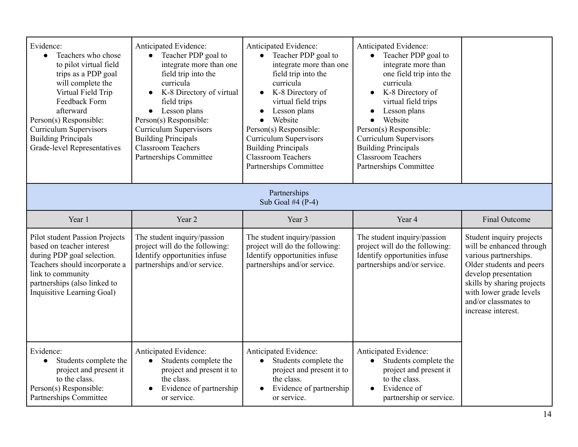| Evidence:<br>Teachers who chose<br>$\bullet$<br>to pilot virtual field<br>trips as a PDP goal<br>will complete the<br>Virtual Field Trip<br>Feedback Form<br>afterward<br>Person(s) Responsible:<br><b>Curriculum Supervisors</b><br><b>Building Principals</b><br><b>Grade-level Representatives</b> | Anticipated Evidence:<br>Teacher PDP goal to<br>$\bullet$<br>integrate more than one<br>field trip into the<br>curricula<br>K-8 Directory of virtual<br>$\bullet$<br>field trips<br>Lesson plans<br>$\bullet$<br>Person(s) Responsible:<br><b>Curriculum Supervisors</b><br><b>Building Principals</b><br><b>Classroom Teachers</b><br>Partnerships Committee | Anticipated Evidence:<br>Teacher PDP goal to<br>integrate more than one<br>field trip into the<br>curricula<br>K-8 Directory of<br>$\bullet$<br>virtual field trips<br>Lesson plans<br>Website<br>Person(s) Responsible:<br><b>Curriculum Supervisors</b><br><b>Building Principals</b><br><b>Classroom Teachers</b><br>Partnerships Committee | Anticipated Evidence:<br>Teacher PDP goal to<br>$\bullet$<br>integrate more than<br>one field trip into the<br>curricula<br>K-8 Directory of<br>$\bullet$<br>virtual field trips<br>Lesson plans<br>Website<br>Person(s) Responsible:<br><b>Curriculum Supervisors</b><br><b>Building Principals</b><br><b>Classroom Teachers</b><br>Partnerships Committee |                                                                                                                                                                                                                                          |
|-------------------------------------------------------------------------------------------------------------------------------------------------------------------------------------------------------------------------------------------------------------------------------------------------------|---------------------------------------------------------------------------------------------------------------------------------------------------------------------------------------------------------------------------------------------------------------------------------------------------------------------------------------------------------------|------------------------------------------------------------------------------------------------------------------------------------------------------------------------------------------------------------------------------------------------------------------------------------------------------------------------------------------------|-------------------------------------------------------------------------------------------------------------------------------------------------------------------------------------------------------------------------------------------------------------------------------------------------------------------------------------------------------------|------------------------------------------------------------------------------------------------------------------------------------------------------------------------------------------------------------------------------------------|
|                                                                                                                                                                                                                                                                                                       |                                                                                                                                                                                                                                                                                                                                                               | Partnerships<br>Sub Goal #4 $(P-4)$                                                                                                                                                                                                                                                                                                            |                                                                                                                                                                                                                                                                                                                                                             |                                                                                                                                                                                                                                          |
| Year 1                                                                                                                                                                                                                                                                                                | Year 2                                                                                                                                                                                                                                                                                                                                                        | Year 3                                                                                                                                                                                                                                                                                                                                         | Year 4                                                                                                                                                                                                                                                                                                                                                      | <b>Final Outcome</b>                                                                                                                                                                                                                     |
| <b>Pilot student Passion Projects</b><br>based on teacher interest<br>during PDP goal selection.<br>Teachers should incorporate a<br>link to community<br>partnerships (also linked to<br>Inquisitive Learning Goal)                                                                                  | The student inquiry/passion<br>project will do the following:<br>Identify opportunities infuse<br>partnerships and/or service.                                                                                                                                                                                                                                | The student inquiry/passion<br>project will do the following:<br>Identify opportunities infuse<br>partnerships and/or service.                                                                                                                                                                                                                 | The student inquiry/passion<br>project will do the following:<br>Identify opportunities infuse<br>partnerships and/or service.                                                                                                                                                                                                                              | Student inquiry projects<br>will be enhanced through<br>various partnerships.<br>Older students and peers<br>develop presentation<br>skills by sharing projects<br>with lower grade levels<br>and/or classmates to<br>increase interest. |
| Evidence:<br>Students complete the<br>$\bullet$<br>project and present it<br>to the class.<br>Person(s) Responsible:<br>Partnerships Committee                                                                                                                                                        | Anticipated Evidence:<br>Students complete the<br>$\bullet$<br>project and present it to<br>the class.<br>Evidence of partnership<br>$\bullet$<br>or service.                                                                                                                                                                                                 | Anticipated Evidence:<br>Students complete the<br>$\bullet$<br>project and present it to<br>the class.<br>Evidence of partnership<br>or service.                                                                                                                                                                                               | Anticipated Evidence:<br>Students complete the<br>$\bullet$<br>project and present it<br>to the class.<br>Evidence of<br>$\bullet$<br>partnership or service.                                                                                                                                                                                               |                                                                                                                                                                                                                                          |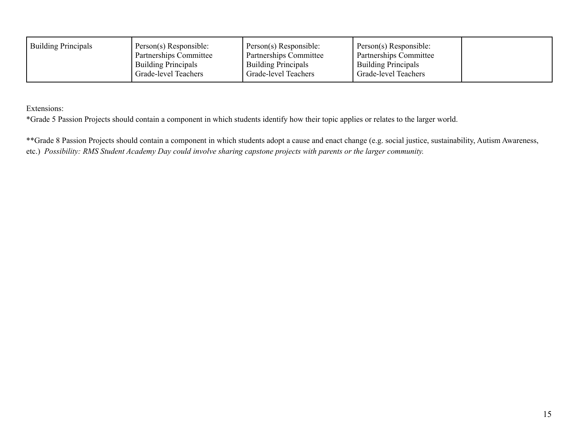| <b>Building Principals</b> | Person(s) Responsible:<br>Partnerships Committee<br><b>Building Principals</b> | Person(s) Responsible:<br>Partnerships Committee<br><b>Building Principals</b> | Person(s) Responsible:<br>Partnerships Committee<br><b>Building Principals</b> |  |
|----------------------------|--------------------------------------------------------------------------------|--------------------------------------------------------------------------------|--------------------------------------------------------------------------------|--|
|                            | Grade-level Teachers                                                           | Grade-level Teachers                                                           | Grade-level Teachers                                                           |  |

Extensions:

\*Grade 5 Passion Projects should contain a component in which students identify how their topic applies or relates to the larger world.

\*\*Grade 8 Passion Projects should contain a component in which students adopt a cause and enact change (e.g. social justice, sustainability, Autism Awareness, etc.) Possibility: RMS Student Academy Day could involve sharing capstone projects with parents or the larger community.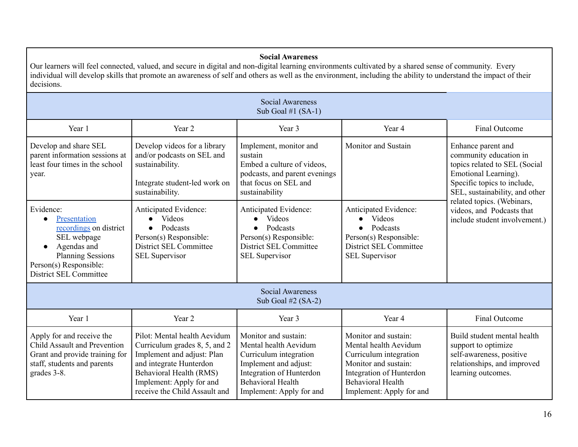#### **Social Awareness**

Our learners will feel connected, valued, and secure in digital and non-digital learning environments cultivated by a shared sense of community. Every individual will develop skills that promote an awareness of self and others as well as the environment, including the ability to understand the impact of their decisions.

|                                                                                                                                                                   |                                                                                                                                                                                                                | <b>Social Awareness</b><br>Sub Goal #1 $(SA-1)$                                                                                                                                      |                                                                                                                                                                                     |                                                                                                                                                                        |
|-------------------------------------------------------------------------------------------------------------------------------------------------------------------|----------------------------------------------------------------------------------------------------------------------------------------------------------------------------------------------------------------|--------------------------------------------------------------------------------------------------------------------------------------------------------------------------------------|-------------------------------------------------------------------------------------------------------------------------------------------------------------------------------------|------------------------------------------------------------------------------------------------------------------------------------------------------------------------|
| Year 1                                                                                                                                                            | Year <sub>2</sub>                                                                                                                                                                                              | Year 3                                                                                                                                                                               | Year 4                                                                                                                                                                              | Final Outcome                                                                                                                                                          |
| Develop and share SEL<br>parent information sessions at<br>least four times in the school<br>year.                                                                | Develop videos for a library<br>and/or podcasts on SEL and<br>sustainability.<br>Integrate student-led work on<br>sustainability.                                                                              | Implement, monitor and<br>sustain<br>Embed a culture of videos,<br>podcasts, and parent evenings<br>that focus on SEL and<br>sustainability                                          | Monitor and Sustain                                                                                                                                                                 | Enhance parent and<br>community education in<br>topics related to SEL (Social<br>Emotional Learning).<br>Specific topics to include,<br>SEL, sustainability, and other |
| Evidence:<br>Presentation<br>recordings on district<br>SEL webpage<br>Agendas and<br><b>Planning Sessions</b><br>Person(s) Responsible:<br>District SEL Committee | Anticipated Evidence:<br><b>Videos</b><br>Podcasts<br>$\bullet$<br>Person(s) Responsible:<br>District SEL Committee<br><b>SEL Supervisor</b>                                                                   | Anticipated Evidence:<br><b>Videos</b><br>Podcasts<br>$\bullet$<br>Person(s) Responsible:<br>District SEL Committee<br><b>SEL Supervisor</b>                                         | Anticipated Evidence:<br>Videos<br>Podcasts<br>Person(s) Responsible:<br>District SEL Committee<br><b>SEL Supervisor</b>                                                            | related topics. (Webinars,<br>videos, and Podcasts that<br>include student involvement.)                                                                               |
|                                                                                                                                                                   |                                                                                                                                                                                                                | <b>Social Awareness</b><br>Sub Goal $#2$ (SA-2)                                                                                                                                      |                                                                                                                                                                                     |                                                                                                                                                                        |
| Year 1                                                                                                                                                            | Year <sub>2</sub>                                                                                                                                                                                              | Year 3                                                                                                                                                                               | Year 4                                                                                                                                                                              | <b>Final Outcome</b>                                                                                                                                                   |
| Apply for and receive the<br>Child Assault and Prevention<br>Grant and provide training for<br>staff, students and parents<br>grades 3-8.                         | Pilot: Mental health Aevidum<br>Curriculum grades 8, 5, and 2<br>Implement and adjust: Plan<br>and integrate Hunterdon<br>Behavioral Health (RMS)<br>Implement: Apply for and<br>receive the Child Assault and | Monitor and sustain:<br>Mental health Aevidum<br>Curriculum integration<br>Implement and adjust:<br>Integration of Hunterdon<br><b>Behavioral Health</b><br>Implement: Apply for and | Monitor and sustain:<br>Mental health Aevidum<br>Curriculum integration<br>Monitor and sustain:<br>Integration of Hunterdon<br><b>Behavioral Health</b><br>Implement: Apply for and | Build student mental health<br>support to optimize<br>self-awareness, positive<br>relationships, and improved<br>learning outcomes.                                    |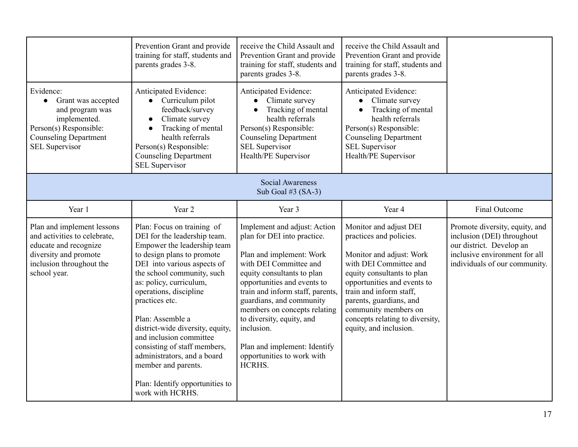|                                                                                                                                                                    | Prevention Grant and provide<br>training for staff, students and<br>parents grades 3-8.                                                                                                                                                                                                                                                                                                                                                                                                     | receive the Child Assault and<br>Prevention Grant and provide<br>training for staff, students and<br>parents grades 3-8.                                                                                                                                                                                                                                                                          | receive the Child Assault and<br>Prevention Grant and provide<br>training for staff, students and<br>parents grades 3-8.                                                                                                                                                                                        |                                                                                                                                                            |
|--------------------------------------------------------------------------------------------------------------------------------------------------------------------|---------------------------------------------------------------------------------------------------------------------------------------------------------------------------------------------------------------------------------------------------------------------------------------------------------------------------------------------------------------------------------------------------------------------------------------------------------------------------------------------|---------------------------------------------------------------------------------------------------------------------------------------------------------------------------------------------------------------------------------------------------------------------------------------------------------------------------------------------------------------------------------------------------|-----------------------------------------------------------------------------------------------------------------------------------------------------------------------------------------------------------------------------------------------------------------------------------------------------------------|------------------------------------------------------------------------------------------------------------------------------------------------------------|
| Evidence:<br>Grant was accepted<br>$\bullet$<br>and program was<br>implemented.<br>Person(s) Responsible:<br><b>Counseling Department</b><br><b>SEL Supervisor</b> | Anticipated Evidence:<br>• Curriculum pilot<br>feedback/survey<br>Climate survey<br>Tracking of mental<br>health referrals<br>Person(s) Responsible:<br><b>Counseling Department</b><br><b>SEL Supervisor</b>                                                                                                                                                                                                                                                                               | Anticipated Evidence:<br>Climate survey<br>$\bullet$<br>Tracking of mental<br>health referrals<br>Person(s) Responsible:<br><b>Counseling Department</b><br><b>SEL Supervisor</b><br>Health/PE Supervisor                                                                                                                                                                                         | Anticipated Evidence:<br>Climate survey<br>Tracking of mental<br>health referrals<br>Person(s) Responsible:<br><b>Counseling Department</b><br><b>SEL Supervisor</b><br>Health/PE Supervisor                                                                                                                    |                                                                                                                                                            |
|                                                                                                                                                                    |                                                                                                                                                                                                                                                                                                                                                                                                                                                                                             | <b>Social Awareness</b><br>Sub Goal #3 $(SA-3)$                                                                                                                                                                                                                                                                                                                                                   |                                                                                                                                                                                                                                                                                                                 |                                                                                                                                                            |
| Year 1                                                                                                                                                             | Year 2                                                                                                                                                                                                                                                                                                                                                                                                                                                                                      | Year 3                                                                                                                                                                                                                                                                                                                                                                                            | Year 4                                                                                                                                                                                                                                                                                                          | Final Outcome                                                                                                                                              |
| Plan and implement lessons<br>and activities to celebrate,<br>educate and recognize<br>diversity and promote<br>inclusion throughout the<br>school year.           | Plan: Focus on training of<br>DEI for the leadership team.<br>Empower the leadership team<br>to design plans to promote<br>DEI into various aspects of<br>the school community, such<br>as: policy, curriculum,<br>operations, discipline<br>practices etc.<br>Plan: Assemble a<br>district-wide diversity, equity,<br>and inclusion committee<br>consisting of staff members,<br>administrators, and a board<br>member and parents.<br>Plan: Identify opportunities to<br>work with HCRHS. | Implement and adjust: Action<br>plan for DEI into practice.<br>Plan and implement: Work<br>with DEI Committee and<br>equity consultants to plan<br>opportunities and events to<br>train and inform staff, parents,<br>guardians, and community<br>members on concepts relating<br>to diversity, equity, and<br>inclusion.<br>Plan and implement: Identify<br>opportunities to work with<br>HCRHS. | Monitor and adjust DEI<br>practices and policies.<br>Monitor and adjust: Work<br>with DEI Committee and<br>equity consultants to plan<br>opportunities and events to<br>train and inform staff,<br>parents, guardians, and<br>community members on<br>concepts relating to diversity,<br>equity, and inclusion. | Promote diversity, equity, and<br>inclusion (DEI) throughout<br>our district. Develop an<br>inclusive environment for all<br>individuals of our community. |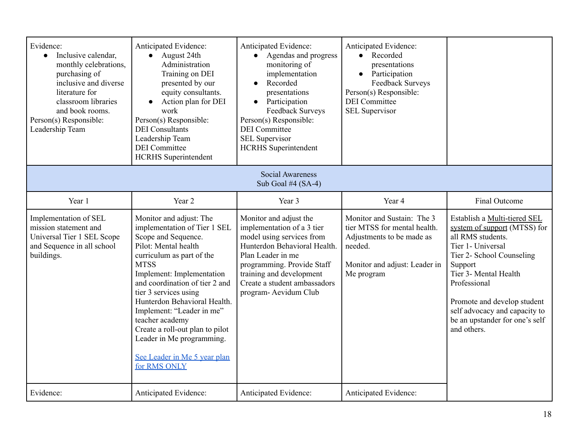| Evidence:<br>Inclusive calendar,<br>$\bullet$<br>monthly celebrations,<br>purchasing of<br>inclusive and diverse<br>literature for<br>classroom libraries<br>and book rooms.<br>Person(s) Responsible:<br>Leadership Team | Anticipated Evidence:<br>August 24th<br>$\bullet$<br>Administration<br>Training on DEI<br>presented by our<br>equity consultants.<br>Action plan for DEI<br>$\bullet$<br>work<br>Person(s) Responsible:<br><b>DEI</b> Consultants<br>Leadership Team<br><b>DEI</b> Committee<br><b>HCRHS</b> Superintendent                                                                                                                                | Anticipated Evidence:<br>Agendas and progress<br>monitoring of<br>implementation<br>Recorded<br>$\bullet$<br>presentations<br>Participation<br>$\bullet$<br>Feedback Surveys<br>Person(s) Responsible:<br><b>DEI</b> Committee<br><b>SEL Supervisor</b><br><b>HCRHS</b> Superintendent | Anticipated Evidence:<br>Recorded<br>$\bullet$<br>presentations<br>Participation<br>Feedback Surveys<br>Person(s) Responsible:<br><b>DEI</b> Committee<br><b>SEL Supervisor</b> |                                                                                                                                                                                                                                                                                                          |
|---------------------------------------------------------------------------------------------------------------------------------------------------------------------------------------------------------------------------|--------------------------------------------------------------------------------------------------------------------------------------------------------------------------------------------------------------------------------------------------------------------------------------------------------------------------------------------------------------------------------------------------------------------------------------------|----------------------------------------------------------------------------------------------------------------------------------------------------------------------------------------------------------------------------------------------------------------------------------------|---------------------------------------------------------------------------------------------------------------------------------------------------------------------------------|----------------------------------------------------------------------------------------------------------------------------------------------------------------------------------------------------------------------------------------------------------------------------------------------------------|
|                                                                                                                                                                                                                           |                                                                                                                                                                                                                                                                                                                                                                                                                                            | <b>Social Awareness</b><br>Sub Goal #4 $(SA-4)$                                                                                                                                                                                                                                        |                                                                                                                                                                                 |                                                                                                                                                                                                                                                                                                          |
| Year 1                                                                                                                                                                                                                    | Year 2                                                                                                                                                                                                                                                                                                                                                                                                                                     | Year 3                                                                                                                                                                                                                                                                                 | Year 4                                                                                                                                                                          | Final Outcome                                                                                                                                                                                                                                                                                            |
| Implementation of SEL<br>mission statement and<br>Universal Tier 1 SEL Scope<br>and Sequence in all school<br>buildings.                                                                                                  | Monitor and adjust: The<br>implementation of Tier 1 SEL<br>Scope and Sequence.<br>Pilot: Mental health<br>curriculum as part of the<br><b>MTSS</b><br>Implement: Implementation<br>and coordination of tier 2 and<br>tier 3 services using<br>Hunterdon Behavioral Health.<br>Implement: "Leader in me"<br>teacher academy<br>Create a roll-out plan to pilot<br>Leader in Me programming.<br>See Leader in Me 5 year plan<br>for RMS ONLY | Monitor and adjust the<br>implementation of a 3 tier<br>model using services from<br>Hunterdon Behavioral Health.<br>Plan Leader in me<br>programming. Provide Staff<br>training and development<br>Create a student ambassadors<br>program- Aevidum Club                              | Monitor and Sustain: The 3<br>tier MTSS for mental health.<br>Adjustments to be made as<br>needed.<br>Monitor and adjust: Leader in<br>Me program                               | Establish a Multi-tiered SEL<br>system of support (MTSS) for<br>all RMS students.<br>Tier 1- Universal<br>Tier 2- School Counseling<br>Support<br>Tier 3- Mental Health<br>Professional<br>Promote and develop student<br>self advocacy and capacity to<br>be an upstander for one's self<br>and others. |
| Evidence:                                                                                                                                                                                                                 | Anticipated Evidence:                                                                                                                                                                                                                                                                                                                                                                                                                      | Anticipated Evidence:                                                                                                                                                                                                                                                                  | Anticipated Evidence:                                                                                                                                                           |                                                                                                                                                                                                                                                                                                          |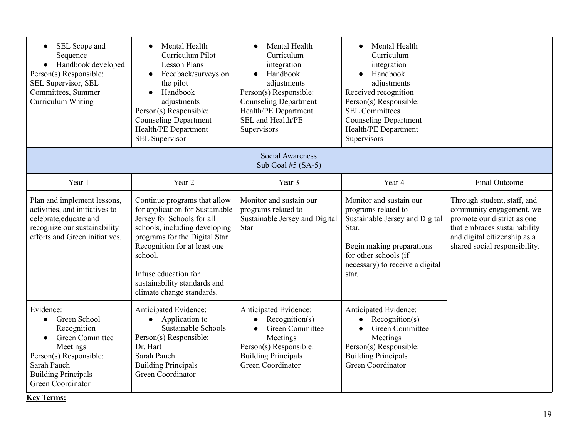| SEL Scope and<br>$\bullet$<br>Sequence<br>Handbook developed<br>Person(s) Responsible:<br>SEL Supervisor, SEL<br>Committees, Summer<br>Curriculum Writing                               | Mental Health<br>Curriculum Pilot<br><b>Lesson Plans</b><br>Feedback/surveys on<br>the pilot<br>Handbook<br>adjustments<br>Person(s) Responsible:<br><b>Counseling Department</b><br>Health/PE Department<br><b>SEL Supervisor</b>                                                              | Mental Health<br>Curriculum<br>integration<br>Handbook<br>adjustments<br>Person(s) Responsible:<br><b>Counseling Department</b><br>Health/PE Department<br>SEL and Health/PE<br>Supervisors | Mental Health<br>Curriculum<br>integration<br>Handbook<br>adjustments<br>Received recognition<br>Person(s) Responsible:<br><b>SEL Committees</b><br><b>Counseling Department</b><br>Health/PE Department<br>Supervisors |                                                                                                                                                                                         |
|-----------------------------------------------------------------------------------------------------------------------------------------------------------------------------------------|-------------------------------------------------------------------------------------------------------------------------------------------------------------------------------------------------------------------------------------------------------------------------------------------------|---------------------------------------------------------------------------------------------------------------------------------------------------------------------------------------------|-------------------------------------------------------------------------------------------------------------------------------------------------------------------------------------------------------------------------|-----------------------------------------------------------------------------------------------------------------------------------------------------------------------------------------|
| <b>Social Awareness</b><br>Sub Goal #5 $(SA-5)$                                                                                                                                         |                                                                                                                                                                                                                                                                                                 |                                                                                                                                                                                             |                                                                                                                                                                                                                         |                                                                                                                                                                                         |
| Year 1                                                                                                                                                                                  | Year 2                                                                                                                                                                                                                                                                                          | Year 3                                                                                                                                                                                      | Year 4                                                                                                                                                                                                                  | Final Outcome                                                                                                                                                                           |
| Plan and implement lessons,<br>activities, and initiatives to<br>celebrate, educate and<br>recognize our sustainability<br>efforts and Green initiatives.                               | Continue programs that allow<br>for application for Sustainable<br>Jersey for Schools for all<br>schools, including developing<br>programs for the Digital Star<br>Recognition for at least one<br>school.<br>Infuse education for<br>sustainability standards and<br>climate change standards. | Monitor and sustain our<br>programs related to<br>Sustainable Jersey and Digital<br><b>Star</b>                                                                                             | Monitor and sustain our<br>programs related to<br>Sustainable Jersey and Digital<br>Star.<br>Begin making preparations<br>for other schools (if<br>necessary) to receive a digital<br>star.                             | Through student, staff, and<br>community engagement, we<br>promote our district as one<br>that embraces sustainability<br>and digital citizenship as a<br>shared social responsibility. |
| Evidence:<br>Green School<br>$\bullet$<br>Recognition<br><b>Green Committee</b><br>Meetings<br>Person(s) Responsible:<br>Sarah Pauch<br><b>Building Principals</b><br>Green Coordinator | Anticipated Evidence:<br>$\bullet$ Application to<br><b>Sustainable Schools</b><br>Person(s) Responsible:<br>Dr. Hart<br>Sarah Pauch<br><b>Building Principals</b><br>Green Coordinator                                                                                                         | Anticipated Evidence:<br>Reognition(s)<br>$\bullet$<br><b>Green Committee</b><br>$\bullet$<br>Meetings<br>Person(s) Responsible:<br><b>Building Principals</b><br><b>Green Coordinator</b>  | Anticipated Evidence:<br>Reognition(s)<br><b>Green Committee</b><br>Meetings<br>Person(s) Responsible:<br><b>Building Principals</b><br>Green Coordinator                                                               |                                                                                                                                                                                         |

**Key Terms:**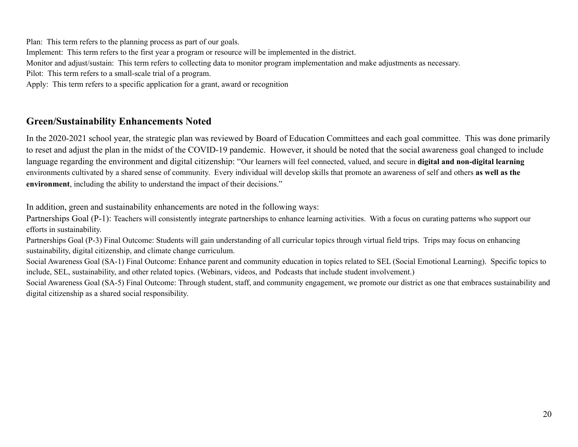Plan: This term refers to the planning process as part of our goals. Implement: This term refers to the first year a program or resource will be implemented in the district. Monitor and adjust/sustain: This term refers to collecting data to monitor program implementation and make adjustments as necessary. Pilot: This term refers to a small-scale trial of a program. Apply: This term refers to a specific application for a grant, award or recognition

### **Green/Sustainability Enhancements Noted**

In the 2020-2021 school year, the strategic plan was reviewed by Board of Education Committees and each goal committee. This was done primarily to reset and adjust the plan in the midst of the COVID-19 pandemic. However, it should be noted that the social awareness goal changed to include language regarding the environment and digital citizenship: "Our learners will feel connected, valued, and secure in **digital and non-digital learning** environments cultivated by a shared sense of community. Every individual will develop skills that promote an awareness of self and others **as well as the environment**, including the ability to understand the impact of their decisions."

In addition, green and sustainability enhancements are noted in the following ways:

Partnerships Goal (P-1): Teachers will consistently integrate partnerships to enhance learning activities. With a focus on curating patterns who support our efforts in sustainability.

<span id="page-20-0"></span>Partnerships Goal (P-3) Final Outcome: Students will gain understanding of all curricular topics through virtual field trips. Trips may focus on enhancing sustainability, digital citizenship, and climate change curriculum.

Social Awareness Goal (SA-1) Final Outcome: Enhance parent and community education in topics related to SEL (Social Emotional Learning). Specific topics to include, SEL, sustainability, and other related topics. (Webinars, videos, and Podcasts that include student involvement.)

Social Awareness Goal (SA-5) Final Outcome: Through student, staff, and community engagement, we promote our district as one that embraces sustainability and digital citizenship as a shared social responsibility.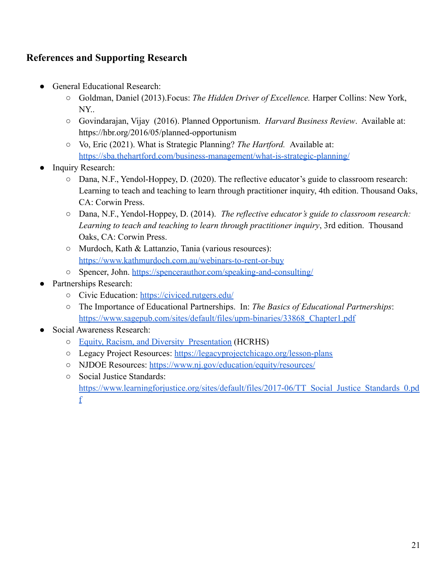### <span id="page-21-0"></span>**References and Supporting Research**

- **General Educational Research:** 
	- Goldman, Daniel (2013).Focus: *The Hidden Driver of Excellence.* Harper Collins: New York, NY..
	- Govindarajan, Vijay (2016). Planned Opportunism. *Harvard Business Review*. Available at: https://hbr.org/2016/05/planned-opportunism
	- Vo, Eric (2021). What is Strategic Planning? *The Hartford.* Available at: <https://sba.thehartford.com/business-management/what-is-strategic-planning/>
- Inquiry Research:
	- Dana, N.F., Yendol-Hoppey, D. (2020). The reflective educator's guide to classroom research: Learning to teach and teaching to learn through practitioner inquiry, 4th edition. Thousand Oaks, CA: Corwin Press.
	- Dana, N.F., Yendol-Hoppey, D. (2014). *The reflective educator's guide to classroom research: Learning to teach and teaching to learn through practitioner inquiry*, 3rd edition. Thousand Oaks, CA: Corwin Press.
	- Murdoch, Kath & Lattanzio, Tania (various resources): <https://www.kathmurdoch.com.au/webinars-to-rent-or-buy>
	- Spencer, John. <https://spencerauthor.com/speaking-and-consulting/>
- Partnerships Research:
	- Civic Education: <https://civiced.rutgers.edu/>
	- The Importance of Educational Partnerships. In: *The Basics of Educational Partnerships*: [https://www.sagepub.com/sites/default/files/upm-binaries/33868\\_Chapter1.pdf](https://www.sagepub.com/sites/default/files/upm-binaries/33868_Chapter1.pdf)
- Social Awareness Research:
	- [Equity, Racism, and Diversity Presentation](https://youtu.be/E-nmm9l8NtQ) (HCRHS)
	- Legacy Project Resources: <https://legacyprojectchicago.org/lesson-plans>
	- NJDOE Resources: <https://www.nj.gov/education/equity/resources/>
	- Social Justice Standards: [https://www.learningforjustice.org/sites/default/files/2017-06/TT\\_Social\\_Justice\\_Standards\\_0.pd](https://www.learningforjustice.org/sites/default/files/2017-06/TT_Social_Justice_Standards_0.pdf) [f](https://www.learningforjustice.org/sites/default/files/2017-06/TT_Social_Justice_Standards_0.pdf)